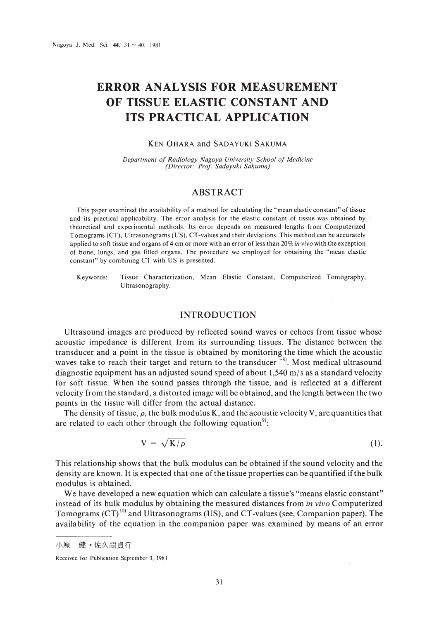# **ERROR ANALYSIS FOR MEASUREMENT OF TISSUE ELASTIC CONSTANT AND ITS PRACTICAL APPLICATION**

#### KEN OHARA and SADAYUKI SAKUMA

*Depar/ment of Radiology Nagoya University School of Medicine (Director: Prof Sadayuki Sakuma)*

## ABSTRACT

This paper examined the availability of a method for calculating the "mean elastic constant" of tissue and its practical applicability. The error analysis for the elastic constant of tissue was obtained by theoretical and experimental methods. Its error depends on measured lengths from Computerized Tomograms (CT), Ultrasonograms (US), CT-values and their deviations. This method can be accurately applied to soft tissue and organs of 4 cm or more with an error of less than 20% *in vivo* with the exception of bone, lungs, and gas filled organs. The procedure we employed for obtaining the "mean elastic constant" by combining CT with US is presented.

Keywords: Tissue Characterization, Mean Elastic Constant, Computerized Tomography, Ultrasonography.

# INTRODUCTION

Ultrasound images are produced by reflected sound waves or echoes from tissue whose acoustic impedance is different from its surrounding tissues. The distance between the transducer and a point in the tissue is obtained by monitoring the time which the acoustic waves take to reach their target and return to the transducer<sup>1-8</sup>. Most medical ultrasound diagnostic equipment has an adjusted sound speed of about 1,540 *mls* as a standard velocity for soft tissue. When the sound passes through the tissue, and is reflected at a different velocity from the standard, a distorted image will be obtained, and the length between the two points in the tissue will differ from the actual distance.

The density of tissue,  $\rho$ , the bulk modulus K, and the acoustic velocity V, are quantities that are related to each other through the following equation<sup>91</sup>:

$$
V = \sqrt{K/\rho} \tag{1}
$$

This relationship shows that the bulk modulus can be obtained if the sound velocity and the density are known. It is expected that one of the tissue properties can be quantified if the bulk modulus is obtained.

We have developed a new equation which can calculate a tissue's "means elastic constant" instead of its bulk modulus by obtaining the measured distances from *in vivo* Computerized Tomograms  $(CT)^{10}$  and Ultrasonograms (US), and CT-values (see, Companion paper). The availability of the equation in the companion paper was examined by means of an error

Received for Publication September 3. 1981

健·佐久間貞行 小原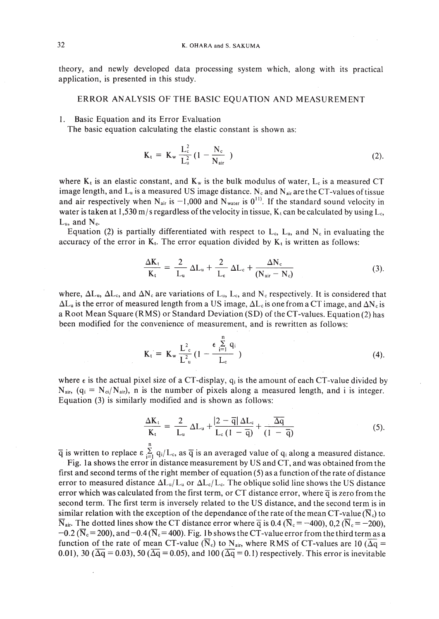theory, and newly developed data processing system which, along with its practical application, is presented in this study.

### ERROR ANALYSIS OF THE BASIC EQUATION AND MEASUREMENT

I. Basic Equation and its Error Evaluation

The basic equation calculating the elastic constant is shown as:

$$
K_{t} = K_{w} \frac{L_{c}^{2}}{L_{u}^{2}} (1 - \frac{N_{c}}{N_{air}})
$$
 (2).

where  $K_t$  is an elastic constant, and  $K_w$  is the bulk modulus of water,  $L_c$  is a measured CT image length, and  $L_u$  is a measured US image distance. N<sub>c</sub> and N<sub>air</sub> are the CT-values of tissue and air respectively when N<sub>air</sub> is -1,000 and N<sub>water</sub> is  $0^{11}$ . If the standard sound velocity in water is taken at 1,530 m/s regardless of the velocity in tissue,  $K_t$  can be calculated by using  $L_c$ ,  $L_{\text{u}}$ , and  $N_{\text{c}}$ .

Equation (2) is partially differentiated with respect to  $L_c$ ,  $L_u$ , and  $N_c$  in evaluating the accuracy of the error in  $K_t$ . The error equation divided by  $K_t$  is written as follows:

$$
\frac{\Delta K_{t}}{K_{t}} = \frac{2}{L_{u}} \Delta L_{u} + \frac{2}{L_{c}} \Delta L_{c} + \frac{\Delta N_{c}}{(N_{air} - N_{c})}
$$
(3).

where,  $\Delta L_u$ ,  $\Delta L_c$ , and  $\Delta N_c$  are variations of  $L_u$ ,  $L_c$ , and  $N_c$  respectively. It is considered that  $\Delta L_{u}$  is the error of measured length from a US image,  $\Delta L_{c}$  is one from a CT image, and  $\Delta N_{c}$  is a Root Mean Square (RMS) or Standard Deviation (SO) of the CT-values. Equation (2) has been modified for the convenience of measurement, and is rewritten as follows:

$$
K_{t} = K_{w} \frac{L_{c}^{2}}{L_{u}^{2}} (1 - \frac{\epsilon \sum_{i=1}^{n} q_{i}}{L_{c}})
$$
 (4).

where  $\epsilon$  is the actual pixel size of a CT-display,  $q_i$  is the amount of each CT-value divided by  $N_{air}$ , (q<sub>i</sub> =  $N_{ci}/N_{air}$ ), n is the number of pixels along a measured length, and i is integer. Equation (3) is similarly modified and is shown as follows:

$$
\frac{\Delta K_t}{K_t} = \frac{2}{L_u} \Delta L_u + \frac{|2 - \overline{q}| \Delta L_c}{L_c (1 - \overline{q})} + \frac{\overline{\Delta q}}{(1 - \overline{q})}
$$
(5).

 $\overline{q}$  is written to replace  $\varepsilon \sum_{i=1}^{n} q_i/L_c$ , as  $\overline{q}$  is an averaged value of  $q_i$  along a measured distance.

Fig. la shows the error in distance measurement by US and CT, and was obtained from the first and second terms of the right member of equation  $(5)$  as a function of the rate of distance error to measured distance  $\Delta L_u/L_u$  or  $\Delta L_c/L_c$ . The oblique solid line shows the US distance error which was calculated from the first term, or CT distance error, where  $\overline{q}$  is zero from the second term. The first term is inversely related to the US distance, and the second term is in similar relation with the exception of the dependance of the rate of the mean CT-value ( $\overline{N}_c$ ) to  $\overline{N}_{air}$ . The dotted lines show the CT distance error where  $\overline{q}$  is 0.4 ( $\overline{N}_{c}$  = -400), 0,2 ( $\overline{N}_{c}$  = -200),  $-0.2$  ( $\overline{N}_{c}= 200$ ), and  $-0.4$  ( $\overline{N}_{c}= 400$ ). Fig. 1b shows the CT-value error from the third term as a function of the rate of mean CT-value ( $\overline{N}_c$ ) to  $N_{air}$ , where RMS of CT-values are 10 ( $\overline{\Delta q}$  = 0.01), 30 ( $\overline{\Delta q}$  = 0.03), 50 ( $\overline{\Delta q}$  = 0.05), and 100 ( $\overline{\Delta q}$  = 0.1) respectively. This error is inevitable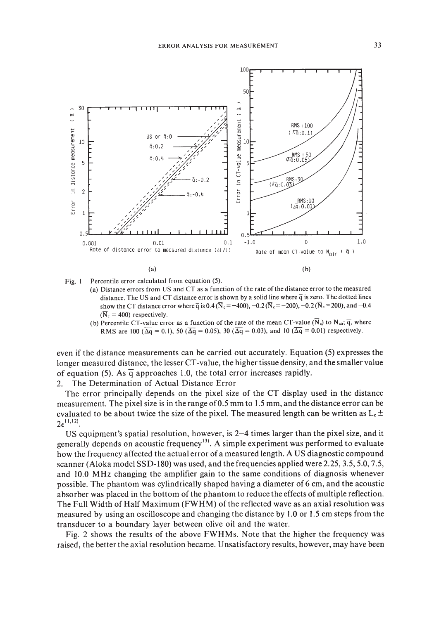

Fig, I Percentile error calculated from equation (5).

(a) Distance errors from US and CT as a function of the rate of the distance error to the measured distance. The US and CT distance error is shown by a solid line where  $\overline{q}$  is zero. The dotted lines show the CT distance error where  $\bar{q}$  is 0.4 ( $\bar{N}_c = -400$ ),  $-0.2 (\bar{N}_c = -200)$ ,  $-0.2 (\bar{N}_c = 200)$ , and  $-0.4$  $(\overline{N}_{c} = 400)$  respectively.

(b) Percentile CT-value error as a function of the rate of the mean CT-value ( $\overline{N}_c$ ) to  $N_{air}$ ;  $\overline{q}$ , where RMS are 100 ( $\overline{\Delta q}$  = 0.1), 50 ( $\overline{\Delta q}$  = 0.05), 30 ( $\overline{\Delta q}$  = 0.03), and 10 ( $\overline{\Delta q}$  = 0.01) respectively.

even if the distance measurements can be carried out accurately. Equation (5) expresses the longer measured distance, the lesser CT-value, the higher tissue density, and the smaller value of equation (5). As  $\overline{q}$  approaches 1.0, the total error increases rapidly.

2. The Determination of Actual Distance Error

The error principally depends on the pixel size of the CT display used in the distance measurement. The pixel size is in the range of0.5 mm to 1.5 mm, and the distance error can be evaluated to be about twice the size of the pixel. The measured length can be written as  $L_c \pm$  $2\epsilon^{11,12)}$ .

US equipment's spatial resolution, however, is 2-4 times larger than the pixel size, and it generally depends on acoustic frequency<sup>13)</sup>. A simple experiment was performed to evaluate how the frequency affected the actual error of a measured length. A US diagnostic compound scanner (Aloka model SSD-180) was used, and the frequencies applied were 2.25,3.5,5.0,7.5, and 10.0 MHz changing the amplifier gain to the same conditions of diagnosis whenever possible. The phantom was cylindrically shaped having a diameter of 6 cm, and the acoustic absorber was placed in the bottom of the phantom to reduce the effects of multiple reflection. The Full Width of Half Maximum (FWHM) of the reflected wave as an axial resolution was measured by using an oscilloscope and changing the distance by 1.0 or 1.5 cm steps from the transducer to a boundary layer between olive oil and the water.

Fig. 2 shows the results of the above FWHMs. Note that the higher the frequency was raised, the better the axial resolution became. Unsatisfactory results, however, may have been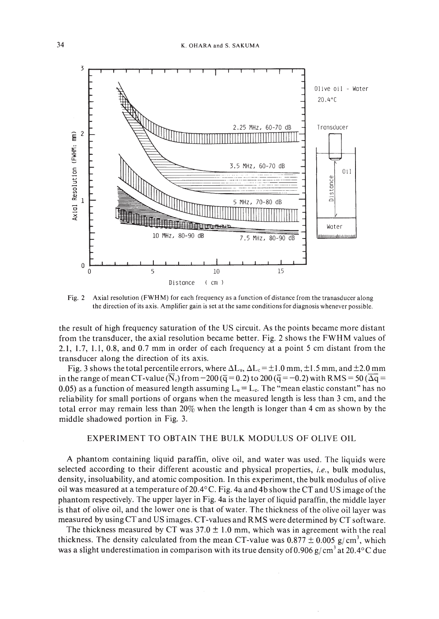

Fig.2 Axial resolution (FWHM) for each frequency as a function of distance from the tranasducer along the direction of its axis. Amplifier gain is set at the same conditions for diagnosis whenever possible.

the result of high frequency saturation of the US circuit. As the points became more distant from the transducer, the axial resolution became better. Fig. 2 shows the FWHM values of 2.1,1.7,1.1,0.8, and 0.7 mm in order of each frequency at a point 5 cm distant from the transducer along the direction of its axis.

Fig. 3 shows the total percentile errors, where  $\Delta L_u$ ,  $\Delta L_c = \pm 1.0$  mm,  $\pm 1.5$  mm, and  $\pm 2.0$  mm in the range of mean CT-value (N<sub>c</sub>) from -200 ( $\overline{q}$  = 0.2) to 200 ( $\overline{q}$  = -0.2) with RMS = 50 ( $\Delta q$  = 0.05) as a function of measured length assuming  $L<sub>u</sub> = L<sub>c</sub>$ . The "mean elastic constant" has no reliability for small portions of organs when the measured length is less than 3 cm, and the total error may remain less than 20% when the length is longer than 4 cm as shown by the middle shadowed portion in Fig. 3.

### EXPERIMENT TO OBTAIN THE BULK MODULUS OF OLIVE OIL

A phantom containing liquid paraffin, olive oil, and water was used. The liquids were selected according to their different acoustic and physical properties, *i.e.,* bulk modulus, density, insoluability, and atomic composition. In this experiment, the bulk modulus of olive oil was measured at a temperature of 20.4 $\rm{^{\circ}C}$ . Fig. 4a and 4b show the CT and US image of the phantom respectively. The upper layer in Fig. 4a is the layer of liquid paraffin, the middle layer is that of olive oil, and the lower one is that of water. The thickness of the olive oil layer was measured by using CT and US images. CT-values and RMS were determined by CT software.

The thickness measured by CT was  $37.0 \pm 1.0$  mm, which was in agreement with the real thickness. The density calculated from the mean CT-value was  $0.877 \pm 0.005$  g/cm<sup>3</sup>, which was a slight underestimation in comparison with its true density of 0.906 g/cm<sup>3</sup> at 20.4°C due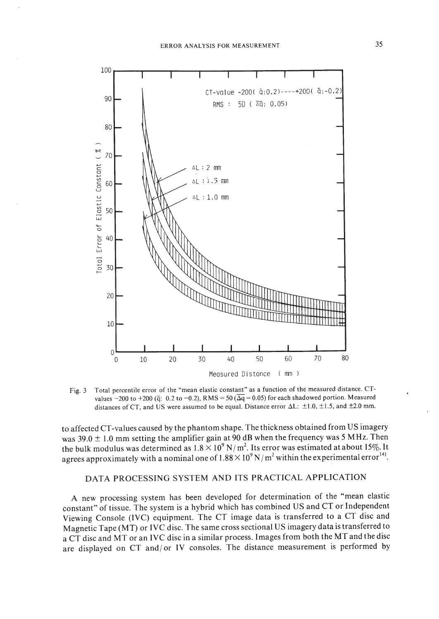

Fig. 3 Total percentile error of the "mean elastic constant" as a function of the measured distance. CTvalues -200 to +200 ( $\overline{q}$ : 0.2 to -0.2), RMS = 50 ( $\overline{\Delta q}$  = 0.05) for each shadowed portion. Measured distances of CT, and US were assumed to be equal. Distance error  $\Delta L: \pm 1.0, \pm 1.5$ , and  $\pm 2.0$  mm.

to affected CT-values caused by the phantom shape. The thickness obtained from US imagery was  $39.0 \pm 1.0$  mm setting the amplifier gain at 90 dB when the frequency was 5 MHz. Then the bulk modulus was determined as  $1.8 \times 10^9$  N/m<sup>2</sup>. Its error was estimated at about 15%. It agrees approximately with a nominal one of  $1.88 \times 10^9$  N/m<sup>2</sup> within the experimental error<sup>14</sup>.

# DATA PROCESSING SYSTEM AND ITS PRACTICAL APPLICATION

A new processing system has been developed for determination of the "mean elastic constant" of tissue. The system is a hybrid which has combined US and CT or Independent Viewing Console (lVC) equipment. The CT image data is transferred to a CT disc and Magnetic Tape (MT) or IVC disc. The same cross sectional US imagery data is transferred to a CT disc and MT or an IVC disc in a similar process. Images from both the MT and the disc are displayed on CT and/ or IV consoles. The distance measurement is performed by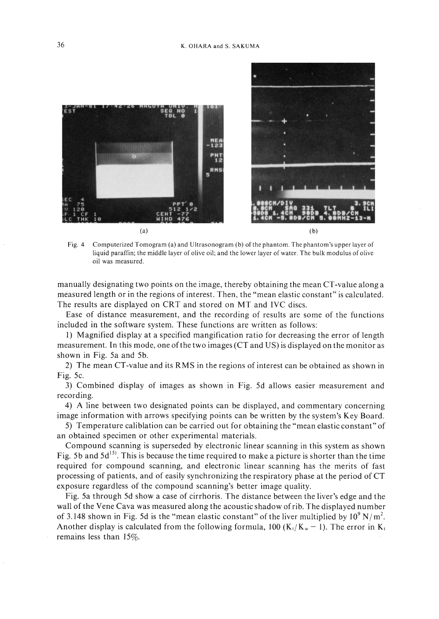

Fig. 4 Computerized Tomogram (a) and Ultrasonogram (b) of the phantom. The phantom's upper layer of liquid paraffin; the middle layer of olive oil; and the lower layer of water. The bulk modulus of olive oil was measured.

manually designating two points on the image, thereby obtaining the mean CT-value along a measured length or in the regions of interest. Then, the "mean elastic constant" is calculated. The results are displayed on CRT and stored on MT and IYC discs.

Ease of distance measurement, and the recording of results are some of the functions included in the software system. These functions are written as follows:

I) Magnified display at a specified mangification ratio for decreasing the error of length measurement. In this mode, one ofthe two images (CT and US) is displayed on the monitor as shown in Fig. 5a and 5b.

2) The mean CT-value and its RMS in the regions of interest can be obtained as shown in Fig.  $5c$ .

3) Combined display of images as shown in Fig. 5d allows easier measurement and recording.

4) A line between two designated points can be displayed, and commentary concerning image information with arrows specifying points can be written by the system's Key Board.

5) Temperature caliblation can be carried out for obtaining the "mean elastic constant" of an obtained specimen or other experimental materials.

Compound scanning is superseded by electronic linear scanning in this system as shown Fig. 5b and  $5d^{15}$ . This is because the time required to make a picture is shorter than the time required for compound scanning, and electronic linear scanning has the merits of fast processing of patients, and of easily synchronizing the respiratory phase at the period of CT exposure regardless of the compound scanning's better image quality.

Fig. 5a through 5d show a case of cirrhoris. The distance between the liver's edge and the wall of the Yene Cava was measured along the acoustic shadow ofrib. The displayed number of 3.148 shown in Fig. 5d is the "mean elastic constant" of the liver multiplied by  $10^9$  N/m<sup>2</sup>. Another display is calculated from the following formula, 100 (K<sub>t</sub>/K<sub>w</sub> - 1). The error in K<sub>t</sub> remains less than 15%.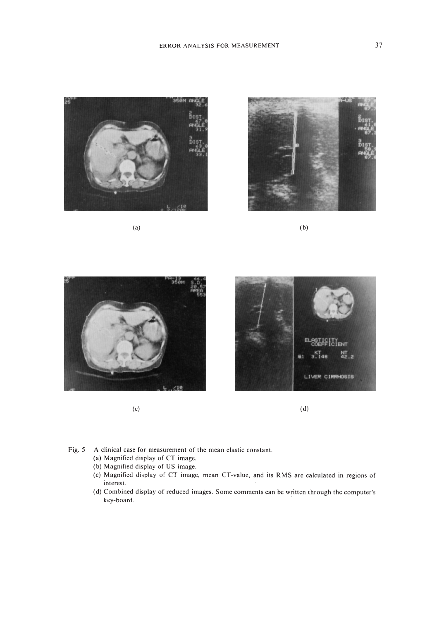

(a)



(b)



(c)



(d)

- Fig. 5 A clinical case for measurement of the mean elastic constant.
	- (a) Magnified display of CT image.
	- (b) Magnified display of US image.
	- (c) Magnified display of CT image, mean CT-value. and its RMS are calculated in regions of interest.
	- (d) Combined display of reduced images. Some comments can be written through the computer's key-board.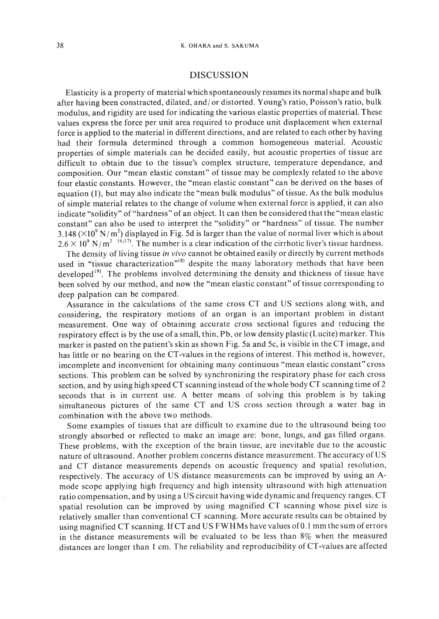# DISCUSSION

Elasticity is a property of material which spontaneously resumes its normal shape and bulk after having been constracted, dilated, and/ or distorted. Young's ratio, Poisson's ratio, bulk modulus, and rigidity are used for indicating the various elastic properties of material. These values express the force per unit area required to produce unit displacement when external force is applied to the material in different directions, and are related to each other by having had their formula determined through a common homogeneous material. Acoustic properties of simple materials can be decided easily, but acoustic properties of tissue are difficult to obtain due to the tissue's complex structure, temperature dependance, and composition. Our "mean elastic constant" of tissue may be complexly related to the above four elastic constants. However, the "mean elastic constant" can be derived on the bases of equation (I), but may also indicate the "mean bulk modulus" of tissue. As the bulk modulus of simple material relates to the change of volume when external force is applied, it can also indicate "solidity" of "hardness" of an object. It can then be considered that the "mean elastic constant" can also be used to interpret the "solidity" or "hardness" of tissue. The number 3.148 ( $\times$ 10 $^9$  N/m $^2$ ) displayed in Fig. 5d is larger than the value of normal liver which is about  $2.6 \times 10^{9}$  N/m<sup>2</sup> <sup>16,17</sup>. The number is a clear indication of the cirrhotic liver's tissue hardness.

The density of living tissue *in vivo* cannot be obtained easily or directly by current methods used in "tissue characterization"<sup>18)</sup> despite the many laboratory methods that have been developed $19$ . The problems involved determining the density and thickness of tissue have been solved by our method, and now the "mean elastic constant" of tissue corresponding to deep palpation can be compared.

Assurance in the calculations of the same cross CT and US sections along with, and considering, the respiratory motions of an organ is an important problem in distant measurement. One way of obtaining accurate cross sectional figures and reducing the respiratory effect is by the use of a small, thin, Pb, or low density plastic (Lucite) marker. This marker is pasted on the patient's skin as shown Fig. 5a and 5c, is visible in the CT image, and has little or no bearing on the CT-values in the regions of interest. This method is, however, imcomplete and inconvenient for obtaining many continuous "mean elastic constant" cross sections. This problem can be solved by synchronizing the respiratory phase for each cross section, and by using high speed CT scanning instead of the whole body CT scanning time of 2 seconds that is in current use. A better means of solving this problem is by taking simultaneous pictures of the same CT and US cross section through a water bag in combination with the above two methods.

Some examples of tissues that are difficult to examine due to the ultrasound being too strongly absorbed or reflected to make an image are: bone, lungs, and gas filled organs. These problems, with the exception of the brain tissue, are inevitable due to the acoustic nature of ultrasound. Another problem concerns distance measurement. The accuracy of US and CT distance measurements depends on acoustic frequency and spatial resolution, respectively. The accuracy of US distance measurements can be improved by using an Amode scope applying high frequency and high intensity ultrasound with high attenuation ratio compensation, and by using a US circuit having wide dynamic and frequency ranges. CT spatial resolution can be improved by using magnified CT scanning whose pixel size is relatively smaller than conventional CT scanning. More accurate results can be obtained by using magnified CT scanning. IfCT and US FWHMs have values of0.1 mm the sum of errors in the distance measurements will be evaluated to be less than 8% when the measured distances are longer than I cm. The reliability and reproducibility of CT-values are affected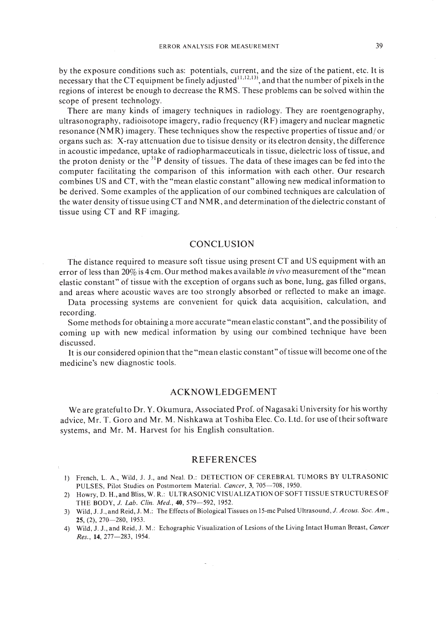by the exposure conditions such as: potentials, current, and the size of the patient, etc. It is necessary that the CT equipment be finely adjusted  $\frac{1}{1,12,13}$ , and that the number of pixels in the regions of interest be enough to decrease the RMS. These problems can be solved within the scope of present technology.

There are many kinds of imagery techniques in radiology. They are roentgenography, ultrasonography, radioisotope imagery, radio frequency (RF) imagery and nuclear magnetic resonance (N MR) imagery. These techniques show the respective properties of tissue and/ or organs such as: X-ray attenuation due to tisisue density or its electron density, the difference in acoustic impedance, uptake of radiopharmaceuticals in tissue, dielectric loss oftissue, and the proton denisty or the  $31P$  density of tissues. The data of these images can be fed into the computer facilitating the comparison of this information with each other. Our research combines US and CT, with the "mean elastic constant" allowing new medical information to be derived. Some examples of the application of our combined techniques are calculation of the water density of tissue using  $CT$  and  $NMR$ , and determination of the dielectric constant of tissue using CT and RF imaging.

# **CONCLUSION**

The distance required to measure soft tissue using present CT and US equipment with an error of less than 20% is 4 cm. Our method makes available *in vivo* measurement ofthe "mean elastic constant" of tissue with the exception of organs such as bone, lung, gas filled organs, and areas where acoustic waves are too strongly absorbed or reflected to make an image.

Data processing systems are convenient for quick data acquisition, calculation, and recording.

Some methods for obtaining a more accurate "mean elastic constant", and the possibility of coming up with new medical information by using our combined technique have been discussed.

It is our considered opinion that the "mean elastic constant" of tissue will become one of the medicine's new diagnostic tools.

### ACKNOWLEDGEMENT

We are grateful to Dr. Y. Okumura, Associated Prof. of Nagasaki University for his worthy advice, Mr. T. Goro and Mr. M. Nishkawa at Toshiba Elec. Co. Ltd. for use oftheir software systems, and Mr. M. Harvest for his English consultation.

### REFERENCES

- I) French, L. A., Wild, J. J., and Neal. D.: DETECTION OF CEREBRAL TUMORS BY ULTRASONIC PULSES, Pilot Studies on Postmortem Material. *Cancer*, 3, 705-708, 1950.
- 2) Howry, D. H.,and Bliss, W. R.: ULTRASONIC VISUALIZATION OFSOFTTISSUESTRUCTURESOF THE BODY, J. *Lab. Clin. Med.,* 40, 579-592, 1952.
- 3) Wild, J. J., and Reid, J. M.: The Effects of Biological Tissues on 15-mc Pulsed Ultrasound, J. *Acous. Soc. Am.,* 25, (2), 270-280, 1953.
- 4) Wild, J. J., and Reid, J. M.: Echographic Visualization of Lesions of the Living Intact Human Breast, *Cancer Res.,* 14,277-283, 1954.